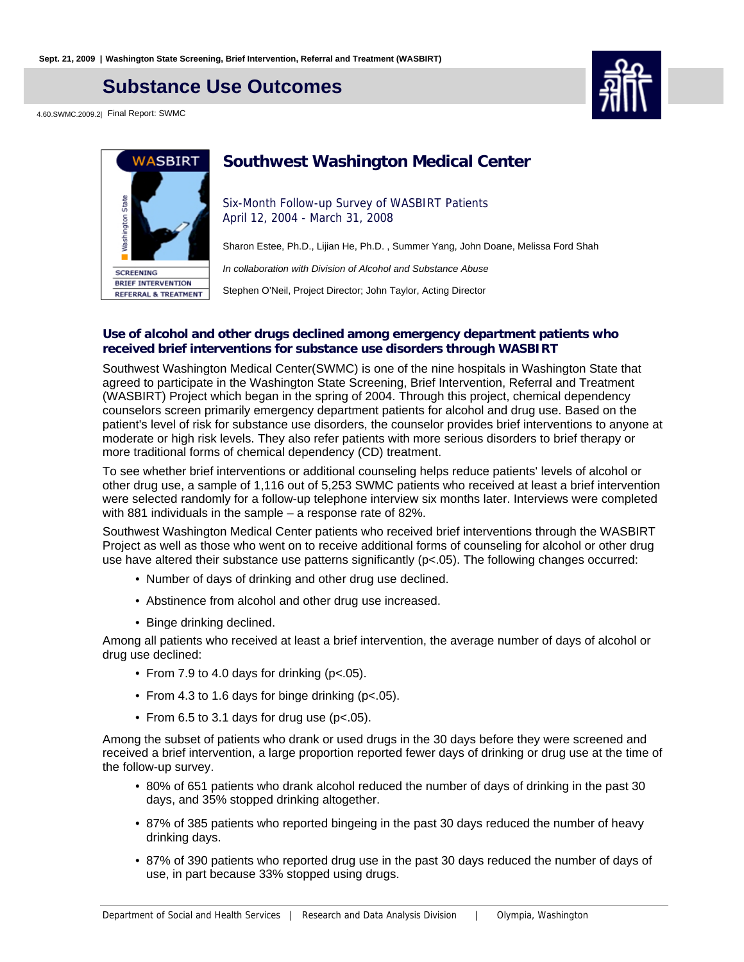## **Substance Use Outcomes**

4.60.SWMC.2009.2| Final Report: SWMC





### **Southwest Washington Medical Center**

Six-Month Follow-up Survey of WASBIRT Patients April 12, 2004 - March 31, 2008

Sharon Estee, Ph.D., Lijian He, Ph.D. , Summer Yang, John Doane, Melissa Ford Shah

In collaboration with Division of Alcohol and Substance Abuse

Stephen O'Neil, Project Director; John Taylor, Acting Director

#### **Use of alcohol and other drugs declined among emergency department patients who received brief interventions for substance use disorders through WASBIRT**

Southwest Washington Medical Center(SWMC) is one of the nine hospitals in Washington State that agreed to participate in the Washington State Screening, Brief Intervention, Referral and Treatment (WASBIRT) Project which began in the spring of 2004. Through this project, chemical dependency counselors screen primarily emergency department patients for alcohol and drug use. Based on the patient's level of risk for substance use disorders, the counselor provides brief interventions to anyone at moderate or high risk levels. They also refer patients with more serious disorders to brief therapy or more traditional forms of chemical dependency (CD) treatment.

To see whether brief interventions or additional counseling helps reduce patients' levels of alcohol or other drug use, a sample of 1,116 out of 5,253 SWMC patients who received at least a brief intervention were selected randomly for a follow-up telephone interview six months later. Interviews were completed with 881 individuals in the sample – a response rate of 82%.

Southwest Washington Medical Center patients who received brief interventions through the WASBIRT Project as well as those who went on to receive additional forms of counseling for alcohol or other drug use have altered their substance use patterns significantly (p<.05). The following changes occurred:

- Number of days of drinking and other drug use declined.
- Abstinence from alcohol and other drug use increased.
- Binge drinking declined.

Among all patients who received at least a brief intervention, the average number of days of alcohol or drug use declined:

- From 7.9 to 4.0 days for drinking (p<.05).
- From 4.3 to 1.6 days for binge drinking (p<.05).
- From 6.5 to 3.1 days for drug use ( $p$ <.05).

Among the subset of patients who drank or used drugs in the 30 days before they were screened and received a brief intervention, a large proportion reported fewer days of drinking or drug use at the time of the follow-up survey.

- 80% of 651 patients who drank alcohol reduced the number of days of drinking in the past 30 days, and 35% stopped drinking altogether.
- 87% of 385 patients who reported bingeing in the past 30 days reduced the number of heavy drinking days.
- 87% of 390 patients who reported drug use in the past 30 days reduced the number of days of use, in part because 33% stopped using drugs.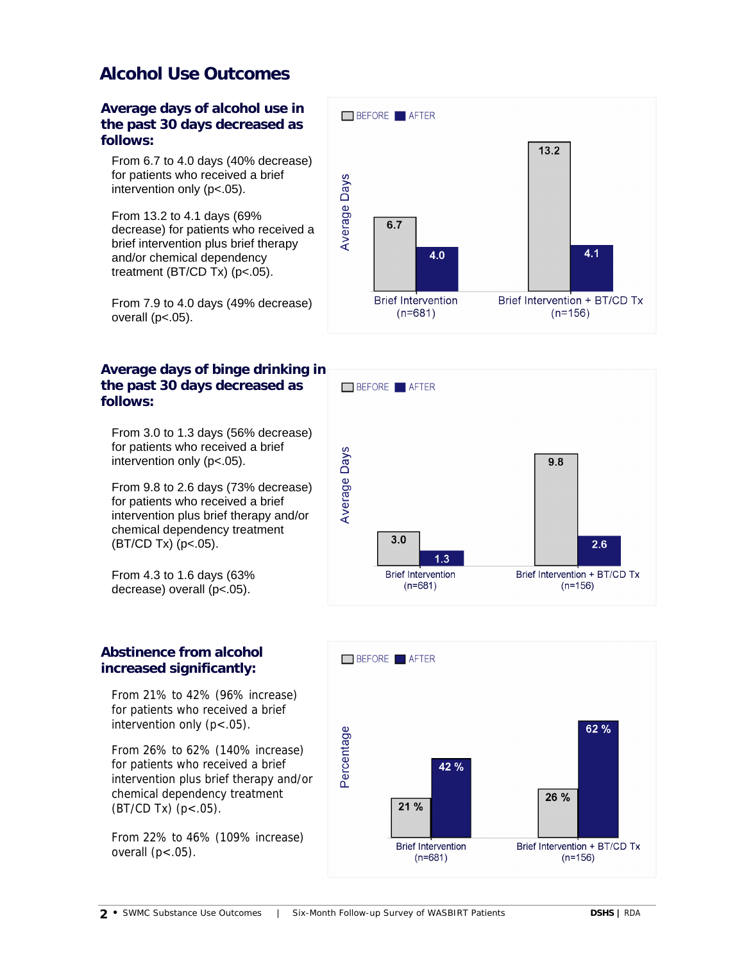## **Alcohol Use Outcomes**

**Average days of alcohol use in the past 30 days decreased as follows:**

From 6.7 to 4.0 days (40% decrease) for patients who received a brief intervention only (p<.05).

From 13.2 to 4.1 days (69% decrease) for patients who received a brief intervention plus brief therapy and/or chemical dependency treatment (BT/CD Tx) (p<.05).

From 7.9 to 4.0 days (49% decrease) overall  $(p<.05)$ .

### **Average days of binge drinking in the past 30 days decreased as follows:**

From 3.0 to 1.3 days (56% decrease) for patients who received a brief intervention only (p<.05).

From 9.8 to 2.6 days (73% decrease) for patients who received a brief intervention plus brief therapy and/or chemical dependency treatment (BT/CD Tx) (p<.05).

From 4.3 to 1.6 days (63% decrease) overall (p<.05).

### **Abstinence from alcohol increased significantly:**

From 21% to 42% (96% increase) for patients who received a brief intervention only  $(p < .05)$ .

From 26% to 62% (140% increase) for patients who received a brief intervention plus brief therapy and/or chemical dependency treatment  $(BT/CD Tx)$   $(p < .05)$ .

From 22% to 46% (109% increase) overall  $(p<.05)$ .





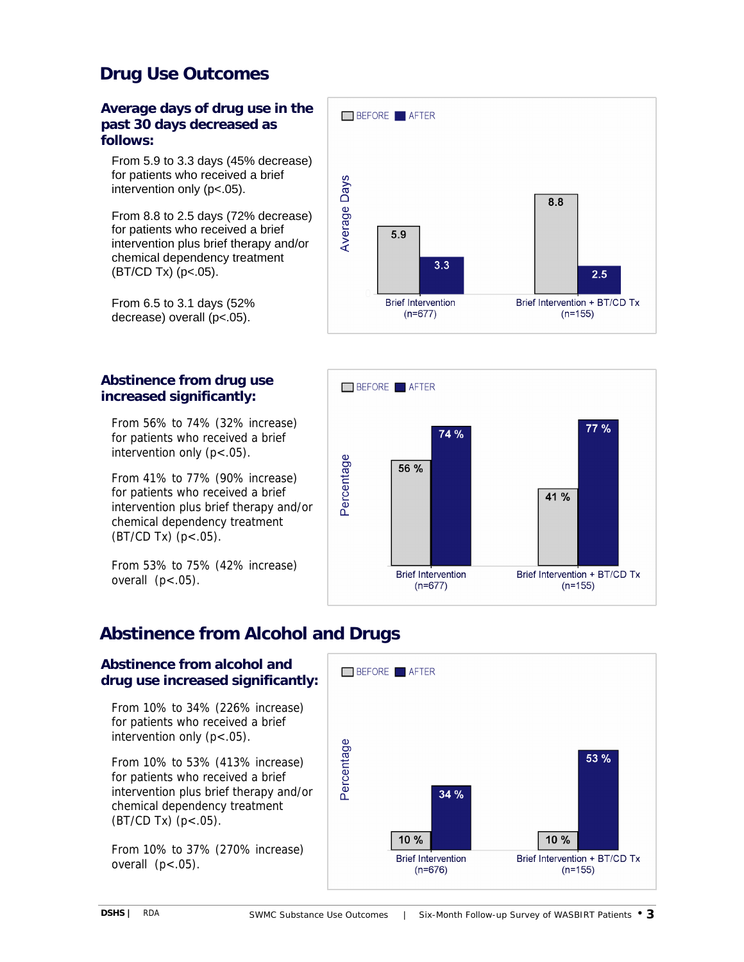## **Drug Use Outcomes**

#### **Average days of drug use in the past 30 days decreased as follows:**

From 5.9 to 3.3 days (45% decrease) for patients who received a brief intervention only (p<.05).

From 8.8 to 2.5 days (72% decrease) for patients who received a brief intervention plus brief therapy and/or chemical dependency treatment  $(BT/CD Tx)$  (p<.05).

From 6.5 to 3.1 days (52% decrease) overall (p<.05).

### **Abstinence from drug use increased significantly:**

From 56% to 74% (32% increase) for patients who received a brief intervention only (p<.05).

From 41% to 77% (90% increase) for patients who received a brief intervention plus brief therapy and/or chemical dependency treatment  $(BT/CD Tx)$   $(p < .05)$ .

From 53% to 75% (42% increase) overall  $(p<.05)$ .

# BEFORE **AFTER Average Days** 8.8 5.9  $3.3$  $2.5$ **Brief Intervention** Brief Intervention + BT/CD Tx  $(n=677)$  $(n=155)$



# **Abstinence from Alcohol and Drugs**

### **Abstinence from alcohol and drug use increased significantly:**

From 10% to 34% (226% increase) for patients who received a brief intervention only  $(p < .05)$ .

From 10% to 53% (413% increase) for patients who received a brief intervention plus brief therapy and/or chemical dependency treatment (BT/CD Tx) (p<.05).

From 10% to 37% (270% increase) overall  $(p<.05)$ .